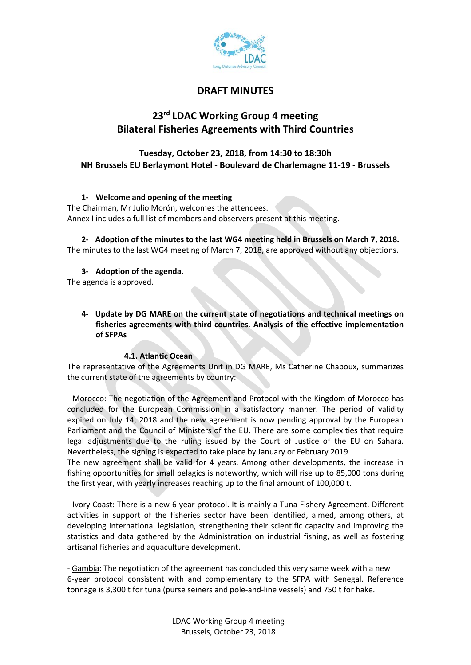

## DRAFT MINUTES

# 23<sup>rd</sup> LDAC Working Group 4 meeting Bilateral Fisheries Agreements with Third Countries

## Tuesday, October 23, 2018, from 14:30 to 18:30h NH Brussels EU Berlaymont Hotel - Boulevard de Charlemagne 11-19 - Brussels

### 1- Welcome and opening of the meeting

The Chairman, Mr Julio Morón, welcomes the attendees. Annex I includes a full list of members and observers present at this meeting.

2- Adoption of the minutes to the last WG4 meeting held in Brussels on March 7, 2018. The minutes to the last WG4 meeting of March 7, 2018, are approved without any objections.

### 3- Adoption of the agenda.

The agenda is approved.

4- Update by DG MARE on the current state of negotiations and technical meetings on fisheries agreements with third countries. Analysis of the effective implementation of SFPAs

#### 4.1. Atlantic Ocean

The representative of the Agreements Unit in DG MARE, Ms Catherine Chapoux, summarizes the current state of the agreements by country:

- Morocco: The negotiation of the Agreement and Protocol with the Kingdom of Morocco has concluded for the European Commission in a satisfactory manner. The period of validity expired on July 14, 2018 and the new agreement is now pending approval by the European Parliament and the Council of Ministers of the EU. There are some complexities that require legal adjustments due to the ruling issued by the Court of Justice of the EU on Sahara. Nevertheless, the signing is expected to take place by January or February 2019.

The new agreement shall be valid for 4 years. Among other developments, the increase in fishing opportunities for small pelagics is noteworthy, which will rise up to 85,000 tons during the first year, with yearly increases reaching up to the final amount of 100,000 t.

- Ivory Coast: There is a new 6-year protocol. It is mainly a Tuna Fishery Agreement. Different activities in support of the fisheries sector have been identified, aimed, among others, at developing international legislation, strengthening their scientific capacity and improving the statistics and data gathered by the Administration on industrial fishing, as well as fostering artisanal fisheries and aquaculture development.

- Gambia: The negotiation of the agreement has concluded this very same week with a new 6-year protocol consistent with and complementary to the SFPA with Senegal. Reference tonnage is 3,300 t for tuna (purse seiners and pole-and-line vessels) and 750 t for hake.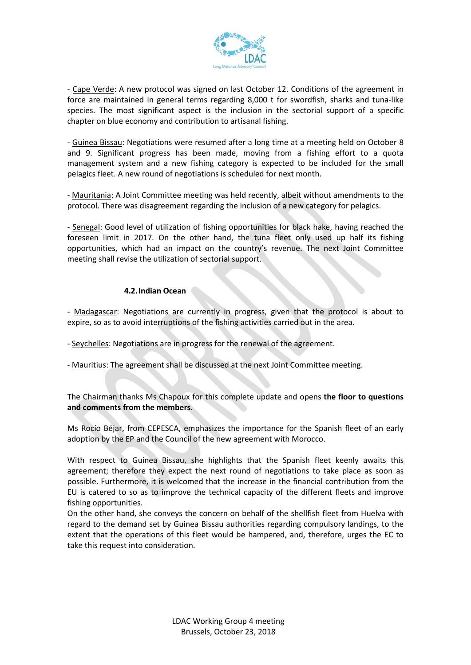

- Cape Verde: A new protocol was signed on last October 12. Conditions of the agreement in force are maintained in general terms regarding 8,000 t for swordfish, sharks and tuna-like species. The most significant aspect is the inclusion in the sectorial support of a specific chapter on blue economy and contribution to artisanal fishing.

- Guinea Bissau: Negotiations were resumed after a long time at a meeting held on October 8 and 9. Significant progress has been made, moving from a fishing effort to a quota management system and a new fishing category is expected to be included for the small pelagics fleet. A new round of negotiations is scheduled for next month.

- Mauritania: A Joint Committee meeting was held recently, albeit without amendments to the protocol. There was disagreement regarding the inclusion of a new category for pelagics.

- Senegal: Good level of utilization of fishing opportunities for black hake, having reached the foreseen limit in 2017. On the other hand, the tuna fleet only used up half its fishing opportunities, which had an impact on the country's revenue. The next Joint Committee meeting shall revise the utilization of sectorial support.

### 4.2.Indian Ocean

- Madagascar: Negotiations are currently in progress, given that the protocol is about to expire, so as to avoid interruptions of the fishing activities carried out in the area.

- Seychelles: Negotiations are in progress for the renewal of the agreement.
- Mauritius: The agreement shall be discussed at the next Joint Committee meeting.

The Chairman thanks Ms Chapoux for this complete update and opens the floor to questions and comments from the members.

Ms Rocío Béjar, from CEPESCA, emphasizes the importance for the Spanish fleet of an early adoption by the EP and the Council of the new agreement with Morocco.

With respect to Guinea Bissau, she highlights that the Spanish fleet keenly awaits this agreement; therefore they expect the next round of negotiations to take place as soon as possible. Furthermore, it is welcomed that the increase in the financial contribution from the EU is catered to so as to improve the technical capacity of the different fleets and improve fishing opportunities.

On the other hand, she conveys the concern on behalf of the shellfish fleet from Huelva with regard to the demand set by Guinea Bissau authorities regarding compulsory landings, to the extent that the operations of this fleet would be hampered, and, therefore, urges the EC to take this request into consideration.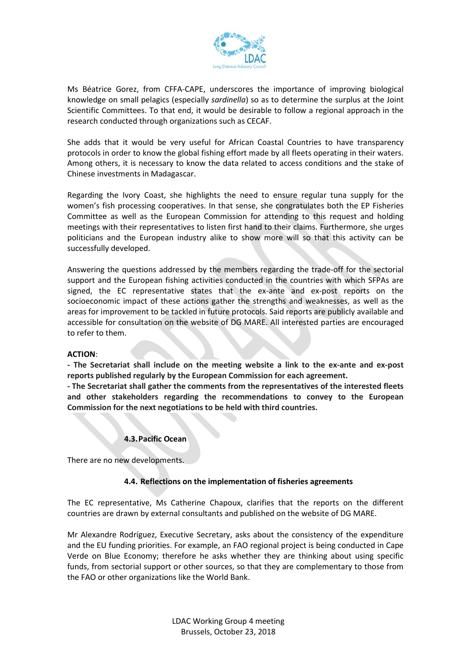

Ms Béatrice Gorez, from CFFA-CAPE, underscores the importance of improving biological knowledge on small pelagics (especially sardinella) so as to determine the surplus at the Joint Scientific Committees. To that end, it would be desirable to follow a regional approach in the research conducted through organizations such as CECAF.

She adds that it would be very useful for African Coastal Countries to have transparency protocols in order to know the global fishing effort made by all fleets operating in their waters. Among others, it is necessary to know the data related to access conditions and the stake of Chinese investments in Madagascar.

Regarding the Ivory Coast, she highlights the need to ensure regular tuna supply for the women's fish processing cooperatives. In that sense, she congratulates both the EP Fisheries Committee as well as the European Commission for attending to this request and holding meetings with their representatives to listen first hand to their claims. Furthermore, she urges politicians and the European industry alike to show more will so that this activity can be successfully developed.

Answering the questions addressed by the members regarding the trade-off for the sectorial support and the European fishing activities conducted in the countries with which SFPAs are signed, the EC representative states that the ex-ante and ex-post reports on the socioeconomic impact of these actions gather the strengths and weaknesses, as well as the areas for improvement to be tackled in future protocols. Said reports are publicly available and accessible for consultation on the website of DG MARE. All interested parties are encouraged to refer to them.

#### ACTION:

- The Secretariat shall include on the meeting website a link to the ex-ante and ex-post reports published regularly by the European Commission for each agreement.

- The Secretariat shall gather the comments from the representatives of the interested fleets and other stakeholders regarding the recommendations to convey to the European Commission for the next negotiations to be held with third countries.

#### 4.3.Pacific Ocean

There are no new developments.

#### 4.4. Reflections on the implementation of fisheries agreements

The EC representative, Ms Catherine Chapoux, clarifies that the reports on the different countries are drawn by external consultants and published on the website of DG MARE.

Mr Alexandre Rodríguez, Executive Secretary, asks about the consistency of the expenditure and the EU funding priorities. For example, an FAO regional project is being conducted in Cape Verde on Blue Economy; therefore he asks whether they are thinking about using specific funds, from sectorial support or other sources, so that they are complementary to those from the FAO or other organizations like the World Bank.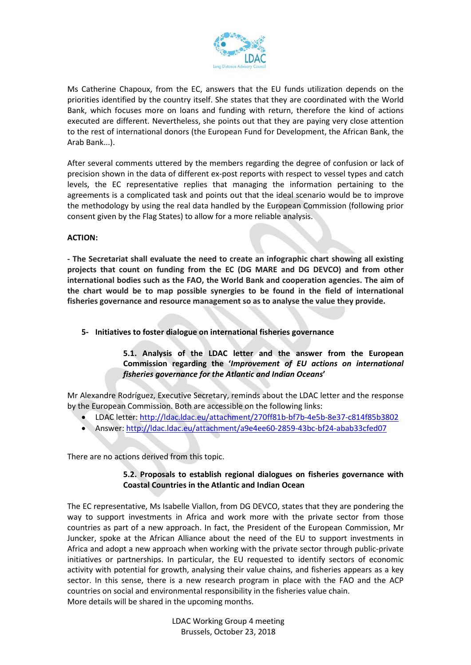

Ms Catherine Chapoux, from the EC, answers that the EU funds utilization depends on the priorities identified by the country itself. She states that they are coordinated with the World Bank, which focuses more on loans and funding with return, therefore the kind of actions executed are different. Nevertheless, she points out that they are paying very close attention to the rest of international donors (the European Fund for Development, the African Bank, the Arab Bank...).

After several comments uttered by the members regarding the degree of confusion or lack of precision shown in the data of different ex-post reports with respect to vessel types and catch levels, the EC representative replies that managing the information pertaining to the agreements is a complicated task and points out that the ideal scenario would be to improve the methodology by using the real data handled by the European Commission (following prior consent given by the Flag States) to allow for a more reliable analysis.

### ACTION:

- The Secretariat shall evaluate the need to create an infographic chart showing all existing projects that count on funding from the EC (DG MARE and DG DEVCO) and from other international bodies such as the FAO, the World Bank and cooperation agencies. The aim of the chart would be to map possible synergies to be found in the field of international fisheries governance and resource management so as to analyse the value they provide.

5- Initiatives to foster dialogue on international fisheries governance

5.1. Analysis of the LDAC letter and the answer from the European Commission regarding the 'Improvement of EU actions on international fisheries governance for the Atlantic and Indian Oceans'

Mr Alexandre Rodríguez, Executive Secretary, reminds about the LDAC letter and the response by the European Commission. Both are accessible on the following links:

- LDAC letter: http://ldac.ldac.eu/attachment/270ff81b-bf7b-4e5b-8e37-c814f85b3802
- Answer: http://ldac.ldac.eu/attachment/a9e4ee60-2859-43bc-bf24-abab33cfed07

There are no actions derived from this topic.

## 5.2. Proposals to establish regional dialogues on fisheries governance with Coastal Countries in the Atlantic and Indian Ocean

The EC representative, Ms Isabelle Viallon, from DG DEVCO, states that they are pondering the way to support investments in Africa and work more with the private sector from those countries as part of a new approach. In fact, the President of the European Commission, Mr Juncker, spoke at the African Alliance about the need of the EU to support investments in Africa and adopt a new approach when working with the private sector through public-private initiatives or partnerships. In particular, the EU requested to identify sectors of economic activity with potential for growth, analysing their value chains, and fisheries appears as a key sector. In this sense, there is a new research program in place with the FAO and the ACP countries on social and environmental responsibility in the fisheries value chain. More details will be shared in the upcoming months.

> LDAC Working Group 4 meeting Brussels, October 23, 2018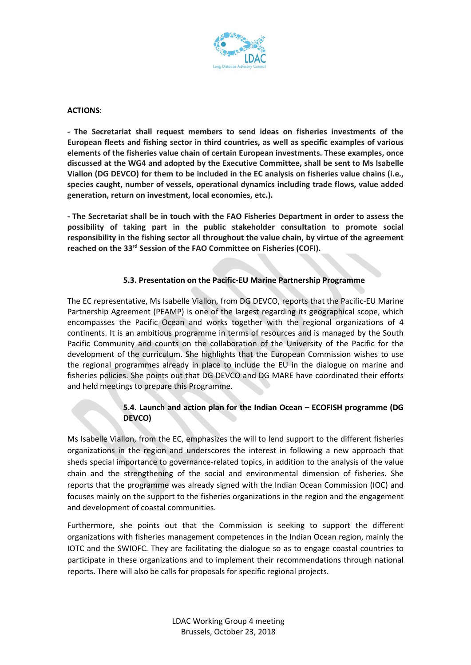

#### ACTIONS:

- The Secretariat shall request members to send ideas on fisheries investments of the European fleets and fishing sector in third countries, as well as specific examples of various elements of the fisheries value chain of certain European investments. These examples, once discussed at the WG4 and adopted by the Executive Committee, shall be sent to Ms Isabelle Viallon (DG DEVCO) for them to be included in the EC analysis on fisheries value chains (i.e., species caught, number of vessels, operational dynamics including trade flows, value added generation, return on investment, local economies, etc.).

- The Secretariat shall be in touch with the FAO Fisheries Department in order to assess the possibility of taking part in the public stakeholder consultation to promote social responsibility in the fishing sector all throughout the value chain, by virtue of the agreement reached on the 33rd Session of the FAO Committee on Fisheries (COFI).

## 5.3. Presentation on the Pacific-EU Marine Partnership Programme

The EC representative, Ms Isabelle Viallon, from DG DEVCO, reports that the Pacific-EU Marine Partnership Agreement (PEAMP) is one of the largest regarding its geographical scope, which encompasses the Pacific Ocean and works together with the regional organizations of 4 continents. It is an ambitious programme in terms of resources and is managed by the South Pacific Community and counts on the collaboration of the University of the Pacific for the development of the curriculum. She highlights that the European Commission wishes to use the regional programmes already in place to include the EU in the dialogue on marine and fisheries policies. She points out that DG DEVCO and DG MARE have coordinated their efforts and held meetings to prepare this Programme.

## 5.4. Launch and action plan for the Indian Ocean – ECOFISH programme (DG DEVCO)

Ms Isabelle Viallon, from the EC, emphasizes the will to lend support to the different fisheries organizations in the region and underscores the interest in following a new approach that sheds special importance to governance-related topics, in addition to the analysis of the value chain and the strengthening of the social and environmental dimension of fisheries. She reports that the programme was already signed with the Indian Ocean Commission (IOC) and focuses mainly on the support to the fisheries organizations in the region and the engagement and development of coastal communities.

Furthermore, she points out that the Commission is seeking to support the different organizations with fisheries management competences in the Indian Ocean region, mainly the IOTC and the SWIOFC. They are facilitating the dialogue so as to engage coastal countries to participate in these organizations and to implement their recommendations through national reports. There will also be calls for proposals for specific regional projects.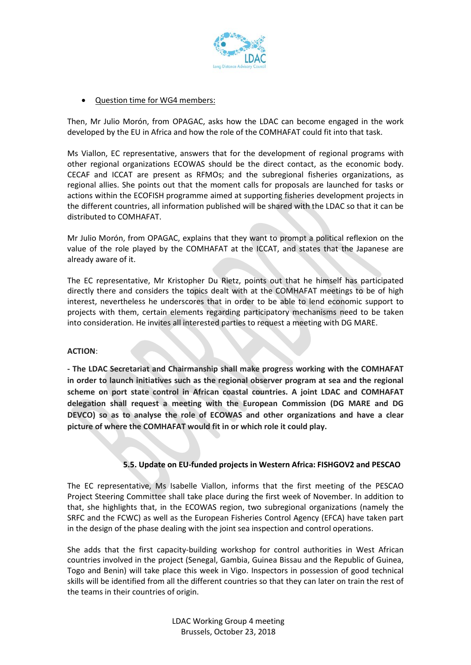

## Question time for WG4 members:

Then, Mr Julio Morón, from OPAGAC, asks how the LDAC can become engaged in the work developed by the EU in Africa and how the role of the COMHAFAT could fit into that task.

Ms Viallon, EC representative, answers that for the development of regional programs with other regional organizations ECOWAS should be the direct contact, as the economic body. CECAF and ICCAT are present as RFMOs; and the subregional fisheries organizations, as regional allies. She points out that the moment calls for proposals are launched for tasks or actions within the ECOFISH programme aimed at supporting fisheries development projects in the different countries, all information published will be shared with the LDAC so that it can be distributed to COMHAFAT.

Mr Julio Morón, from OPAGAC, explains that they want to prompt a political reflexion on the value of the role played by the COMHAFAT at the ICCAT, and states that the Japanese are already aware of it.

The EC representative, Mr Kristopher Du Rietz, points out that he himself has participated directly there and considers the topics dealt with at the COMHAFAT meetings to be of high interest, nevertheless he underscores that in order to be able to lend economic support to projects with them, certain elements regarding participatory mechanisms need to be taken into consideration. He invites all interested parties to request a meeting with DG MARE.

#### ACTION:

- The LDAC Secretariat and Chairmanship shall make progress working with the COMHAFAT in order to launch initiatives such as the regional observer program at sea and the regional scheme on port state control in African coastal countries. A joint LDAC and COMHAFAT delegation shall request a meeting with the European Commission (DG MARE and DG DEVCO) so as to analyse the role of ECOWAS and other organizations and have a clear picture of where the COMHAFAT would fit in or which role it could play.

#### 5.5. Update on EU-funded projects in Western Africa: FISHGOV2 and PESCAO

The EC representative, Ms Isabelle Viallon, informs that the first meeting of the PESCAO Project Steering Committee shall take place during the first week of November. In addition to that, she highlights that, in the ECOWAS region, two subregional organizations (namely the SRFC and the FCWC) as well as the European Fisheries Control Agency (EFCA) have taken part in the design of the phase dealing with the joint sea inspection and control operations.

She adds that the first capacity-building workshop for control authorities in West African countries involved in the project (Senegal, Gambia, Guinea Bissau and the Republic of Guinea, Togo and Benin) will take place this week in Vigo. Inspectors in possession of good technical skills will be identified from all the different countries so that they can later on train the rest of the teams in their countries of origin.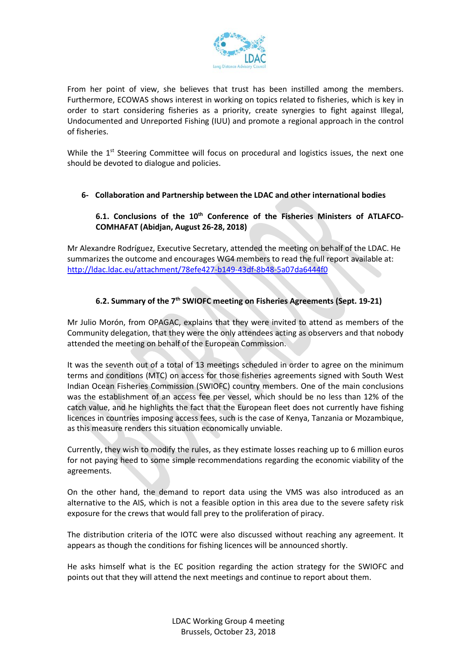

From her point of view, she believes that trust has been instilled among the members. Furthermore, ECOWAS shows interest in working on topics related to fisheries, which is key in order to start considering fisheries as a priority, create synergies to fight against Illegal, Undocumented and Unreported Fishing (IUU) and promote a regional approach in the control of fisheries.

While the  $1<sup>st</sup>$  Steering Committee will focus on procedural and logistics issues, the next one should be devoted to dialogue and policies.

## 6- Collaboration and Partnership between the LDAC and other international bodies

## 6.1. Conclusions of the 10<sup>th</sup> Conference of the Fisheries Ministers of ATLAFCO-COMHAFAT (Abidjan, August 26-28, 2018)

Mr Alexandre Rodríguez, Executive Secretary, attended the meeting on behalf of the LDAC. He summarizes the outcome and encourages WG4 members to read the full report available at: http://ldac.ldac.eu/attachment/78efe427-b149-43df-8b48-5a07da6444f0

## 6.2. Summary of the 7<sup>th</sup> SWIOFC meeting on Fisheries Agreements (Sept. 19-21)

Mr Julio Morón, from OPAGAC, explains that they were invited to attend as members of the Community delegation, that they were the only attendees acting as observers and that nobody attended the meeting on behalf of the European Commission.

It was the seventh out of a total of 13 meetings scheduled in order to agree on the minimum terms and conditions (MTC) on access for those fisheries agreements signed with South West Indian Ocean Fisheries Commission (SWIOFC) country members. One of the main conclusions was the establishment of an access fee per vessel, which should be no less than 12% of the catch value, and he highlights the fact that the European fleet does not currently have fishing licences in countries imposing access fees, such is the case of Kenya, Tanzania or Mozambique, as this measure renders this situation economically unviable.

Currently, they wish to modify the rules, as they estimate losses reaching up to 6 million euros for not paying heed to some simple recommendations regarding the economic viability of the agreements.

On the other hand, the demand to report data using the VMS was also introduced as an alternative to the AIS, which is not a feasible option in this area due to the severe safety risk exposure for the crews that would fall prey to the proliferation of piracy.

The distribution criteria of the IOTC were also discussed without reaching any agreement. It appears as though the conditions for fishing licences will be announced shortly.

He asks himself what is the EC position regarding the action strategy for the SWIOFC and points out that they will attend the next meetings and continue to report about them.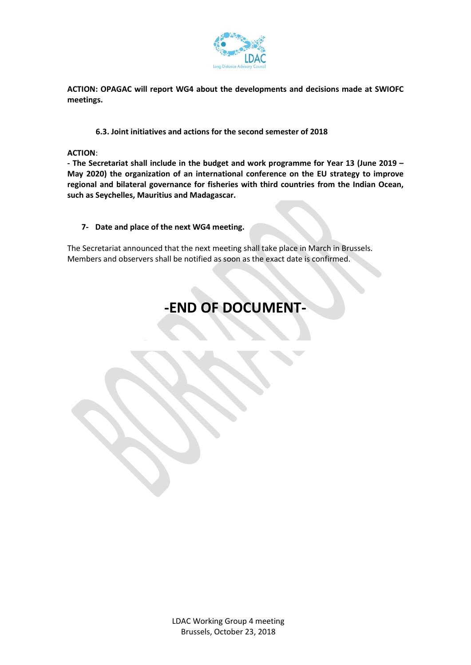

ACTION: OPAGAC will report WG4 about the developments and decisions made at SWIOFC meetings.

## 6.3. Joint initiatives and actions for the second semester of 2018

ACTION:

- The Secretariat shall include in the budget and work programme for Year 13 (June 2019 – May 2020) the organization of an international conference on the EU strategy to improve regional and bilateral governance for fisheries with third countries from the Indian Ocean, such as Seychelles, Mauritius and Madagascar.

### 7- Date and place of the next WG4 meeting.

The Secretariat announced that the next meeting shall take place in March in Brussels. Members and observers shall be notified as soon as the exact date is confirmed.

# -END OF DOCUMENT-